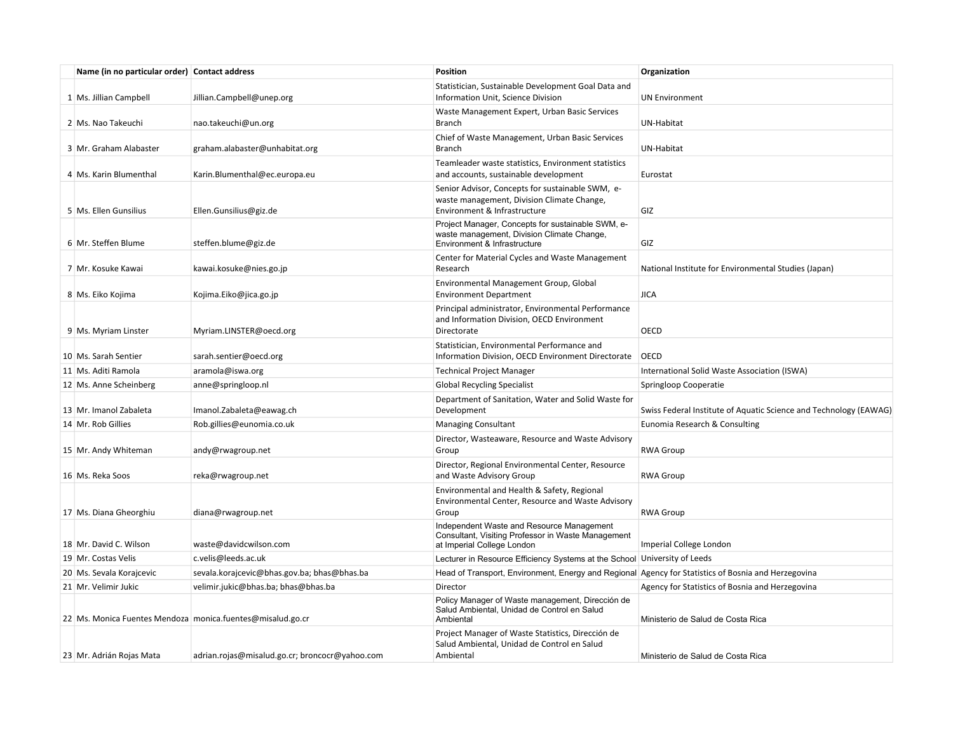| Name (in no particular order) Contact address |                                                            | <b>Position</b>                                                                                                                 | Organization                                                      |
|-----------------------------------------------|------------------------------------------------------------|---------------------------------------------------------------------------------------------------------------------------------|-------------------------------------------------------------------|
| 1 Ms. Jillian Campbell                        | Jillian.Campbell@unep.org                                  | Statistician, Sustainable Development Goal Data and<br>Information Unit, Science Division                                       | <b>UN Environment</b>                                             |
| 2 Ms. Nao Takeuchi                            | nao.takeuchi@un.org                                        | Waste Management Expert, Urban Basic Services<br><b>Branch</b>                                                                  | UN-Habitat                                                        |
| 3 Mr. Graham Alabaster                        | graham.alabaster@unhabitat.org                             | Chief of Waste Management, Urban Basic Services<br><b>Branch</b>                                                                | UN-Habitat                                                        |
| 4 Ms. Karin Blumenthal                        | Karin.Blumenthal@ec.europa.eu                              | Teamleader waste statistics, Environment statistics<br>and accounts, sustainable development                                    | Eurostat                                                          |
| 5 Ms. Ellen Gunsilius                         | Ellen.Gunsilius@giz.de                                     | Senior Advisor, Concepts for sustainable SWM, e-<br>waste management, Division Climate Change,<br>Environment & Infrastructure  | GIZ                                                               |
| 6 Mr. Steffen Blume                           | steffen.blume@giz.de                                       | Project Manager, Concepts for sustainable SWM, e-<br>waste management, Division Climate Change,<br>Environment & Infrastructure | GIZ                                                               |
|                                               |                                                            | Center for Material Cycles and Waste Management                                                                                 |                                                                   |
| 7 Mr. Kosuke Kawai                            | kawai.kosuke@nies.go.jp                                    | Research                                                                                                                        | National Institute for Environmental Studies (Japan)              |
| 8 Ms. Eiko Kojima                             | Kojima.Eiko@jica.go.jp                                     | Environmental Management Group, Global<br><b>Environment Department</b>                                                         | <b>JICA</b>                                                       |
| 9 Ms. Myriam Linster                          | Myriam.LINSTER@oecd.org                                    | Principal administrator, Environmental Performance<br>and Information Division, OECD Environment<br>Directorate                 | OECD                                                              |
| 10 Ms. Sarah Sentier                          | sarah.sentier@oecd.org                                     | Statistician, Environmental Performance and<br>Information Division, OECD Environment Directorate                               | <b>OECD</b>                                                       |
| 11 Ms. Aditi Ramola                           | aramola@iswa.org                                           | <b>Technical Project Manager</b>                                                                                                | International Solid Waste Association (ISWA)                      |
| 12 Ms. Anne Scheinberg                        | anne@springloop.nl                                         | <b>Global Recycling Specialist</b>                                                                                              | Springloop Cooperatie                                             |
| 13 Mr. Imanol Zabaleta                        | Imanol.Zabaleta@eawag.ch                                   | Department of Sanitation, Water and Solid Waste for<br>Development                                                              | Swiss Federal Institute of Aquatic Science and Technology (EAWAG) |
| 14 Mr. Rob Gillies                            | Rob.gillies@eunomia.co.uk                                  | <b>Managing Consultant</b>                                                                                                      | Eunomia Research & Consulting                                     |
| 15 Mr. Andy Whiteman                          | andy@rwagroup.net                                          | Director, Wasteaware, Resource and Waste Advisory<br>Group                                                                      | <b>RWA Group</b>                                                  |
| 16 Ms. Reka Soos                              | reka@rwagroup.net                                          | Director, Regional Environmental Center, Resource<br>and Waste Advisory Group                                                   | <b>RWA Group</b>                                                  |
| 17 Ms. Diana Gheorghiu                        | diana@rwagroup.net                                         | Environmental and Health & Safety, Regional<br>Environmental Center, Resource and Waste Advisory<br>Group                       | <b>RWA Group</b>                                                  |
| 18 Mr. David C. Wilson                        | waste@davidcwilson.com                                     | Independent Waste and Resource Management<br>Consultant, Visiting Professor in Waste Management<br>at Imperial College London   | Imperial College London                                           |
| 19 Mr. Costas Velis                           | c.velis@leeds.ac.uk                                        | Lecturer in Resource Efficiency Systems at the School                                                                           | University of Leeds                                               |
| 20 Ms. Sevala Korajcevic                      | sevala.korajcevic@bhas.gov.ba; bhas@bhas.ba                | Head of Transport, Environment, Energy and Regional Agency for Statistics of Bosnia and Herzegovina                             |                                                                   |
| 21 Mr. Velimir Jukic                          | velimir.jukic@bhas.ba; bhas@bhas.ba                        | Director                                                                                                                        | Agency for Statistics of Bosnia and Herzegovina                   |
|                                               | 22 Ms. Monica Fuentes Mendoza monica.fuentes@misalud.go.cr | Policy Manager of Waste management, Dirección de<br>Salud Ambiental, Unidad de Control en Salud<br>Ambiental                    | Ministerio de Salud de Costa Rica                                 |
| 23 Mr. Adrián Rojas Mata                      | adrian.rojas@misalud.go.cr; broncocr@yahoo.com             | Project Manager of Waste Statistics, Dirección de<br>Salud Ambiental, Unidad de Control en Salud<br>Ambiental                   | Ministerio de Salud de Costa Rica                                 |